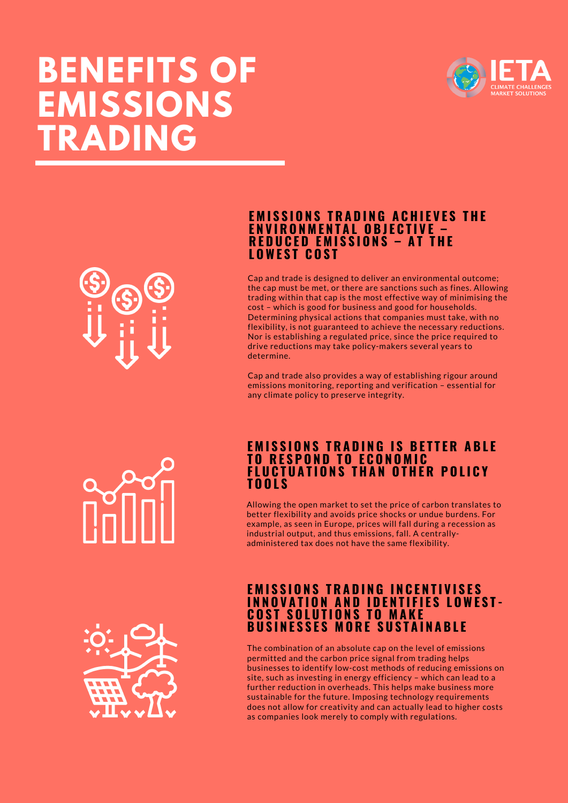# **BENEFITS OF EMISSIONS TRADING**



### <u>EMISSIONS TRADING ACHIEVES THE</u> **E N V I R O N M E N T A L O B J E C T I V E – R E D U C E D E M I S S I O N S – A T T H E L OWE S T C O S T**

Cap and trade is designed to deliver an environmental outcome; the cap must be met, or there are sanctions such as fines. Allowing trading within that cap is the most effective way of minimising the cost – which is good for business and good for households. Determining physical actions that companies must take, with no flexibility, is not guaranteed to achieve the necessary reductions. Nor is establishing a regulated price, since the price required to drive reductions may take policy-makers several years to determine.

Cap and trade also provides a way of establishing rigour around emissions monitoring, reporting and verification – essential for any climate policy to preserve integrity.

## <u>EMISSIONS TRADING IS BETTER ABLE</u> **T O R E S P O N D T O E C O N O M I C FLUCTUATIONS THAN OTHER POLICY T O O L S**

Allowing the open market to set the price of carbon translates to better flexibility and avoids price shocks or undue burdens. For example, as seen in Europe, prices will fall during a recession as industrial output, and thus emissions, fall. A centrallyadministered tax does not have the same flexibility.

# **EMISSIONS TRADING INCENTIVISES INNOVATION AND IDENTIFIES LOWEST-C O S T S O L U T I O N S T O M A K E B U S I N E S S E S M O R E S U S T A I N A B L E**

The combination of an absolute cap on the level of emissions permitted and the carbon price signal from trading helps businesses to identify low-cost methods of reducing emissions on site, such as investing in energy efficiency – which can lead to a further reduction in overheads. This helps make business more sustainable for the future. Imposing technology requirements does not allow for creativity and can actually lead to higher costs as companies look merely to comply with regulations.